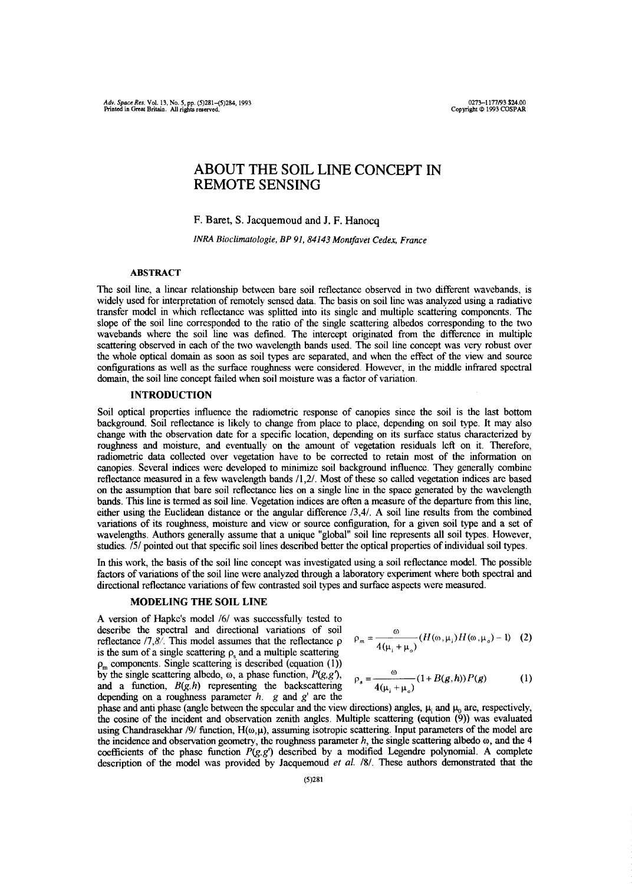# **ABOUT THE SOIL LINE CONCEPT IN REMOTE SENSING**

F. Baret, S. Jacquemoud and J. F. Hanocq

*INRA Bioclimatologie, BP 91, 84143 Montfavet Cedex~.France*

## **ABSTRACT**

The soil line, a linear relationship between bare soil reflectance observed in two different wavebands. is widely used for interpretation of remotely sensed data. The basis on soil line was analyzed using a radiative transfer model in which reflectance was splitted into its single and multiple scattering components. The slope of the soil line corresponded to the ratio of the single scattering albedos corresponding to the two wavebands where the soil line was defined. The intercept originated from the difference in multiple scattering observed in each of the two wavelength bands used. The soil line concept was very robust over the whole optical domain as soon as soil types are separated, and when the effect ofthe view and source configurations as well as the surface roughness were considered. However, in the middle infrared spectral domain, the soil line concept failedwhen soil moisture was a factor of variation.

## **INTRODUCTION**

Soil optical properties influence the radiometric response of canopies since the soil is the last bottom background. Soil reflectance is likely to change from place to place, depending on soil type. It may also change with the observation date for a specific location, depending on its surface status characterized by roughness and moisture, and eventually on the amount of vegetation residuals left on it. Therefore, radiometric data collected over vegetation have to be corrected to retain most of the information on canopies. Several indices were developed to minimize soil background influence. They generally combine reflectance measured in a few wavelength bands  $/1,2/$ . Most of these so called vegetation indices are based on the assumption that bare soil reflectance lies on a single line in the space generated by the wavelength bands. This line is termed as soil line. Vegetation indices are often ameasure of the departure from this line, either using the Euclidean distance or the angular difference /3,4/. A soil line results from the combined variations of its roughness, moisture and view or source configuration, for a given soil type and a set of wavelengths. Authors generally assume that a unique "global" soil line represents all soil types. However, studies. */5/* pointed out that specific soil lines described better the optical properties of individual soil types.

In this work, the basis ofthe soil line concept was investigated using a soil reflectance model. The possible factors of variations of the soil line were analyzed through a laboratory experiment where both spectral and directional reflectance variations of few contrasted soil types and surface aspects were measured.

#### **MODELING THE SOIL LINE**

A version of Hapke's model /6/ was successfully tested to describe the spectral and directional variations of soil reflectance  $/7,8/$ . This model assumes that the reflectance  $\rho$  is the sum of a single scattering  $\rho$ , and a multiple scattering  $\rho_m$  components. Single scattering is described (equation (1)) by the single scattering albedo,  $\omega$ , a phase function,  $P(g, g')$ , and a function,  $B(g,h)$  representing the backscattering depending on a roughness parameter  $h$ .  $g$  and  $g'$  are the depending on a roughness parameter *h. g* and g' are the

$$
\rho_m = \frac{\omega}{4(\mu_i + \mu_o)} (H(\omega, \mu_i) H(\omega, \mu_o) - 1) \quad (2)
$$

$$
\rho_s = \frac{\omega}{4(\mu_i + \mu_o)} (1 + B(g, h)) P(g)
$$
 (1)

phase and anti-phase (angle between the specular and the view directions) angles,  $p_i^2$  and  $p_i^0$  are, respectively, the cosine of the incident and observation zenith angles. Multiple scattering (eqution (9)) was evaluated using Chandrasekhar /9/ function,  $H(\omega,\mu)$ , assuming isotropic scattering. Input parameters of the model are the incidence and observation geometry, the roughness parameter  $h$ , the single scattering albedo  $\omega$ , and the 4 coefficients of the phase function  $P(g, g')$  described by a modified Legendre polynomial. A complete coefficients of the phase function *P(.g,g')* described by a modified Legendre polynomial. A complete description of the model was provided by Jacquemoud *et* a!. /8/. These authors demonstrated that the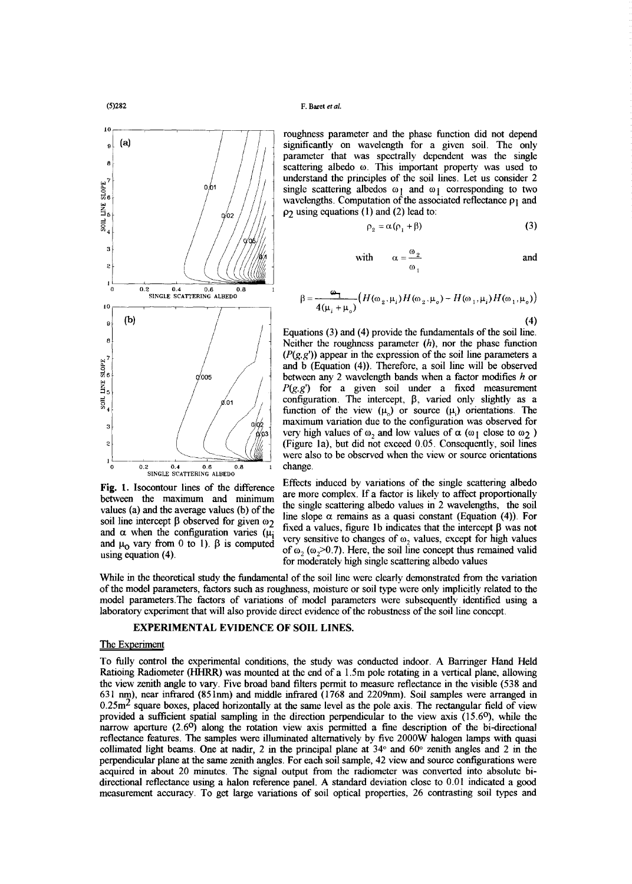

**10** *(a) / <i>/ / / <i>/ / / <i>/ / / / / / / / / / / / / / / / / / / / / / / / / / / / /* significantly on wavelength for a given soil. The only parameter that was spectrally dependent was the single **<sup>8</sup> / / /** scattering albedo *(0.* This important property was used to **1** *p / / <i>/ <i>/ / b single scattering albedos*  $\omega_1$  and  $\omega_1$  corresponding to two wavelengths. Computation of the associated reflectance  $\rho_1$  and  $\frac{g}{2}$   $\frac{g}{2}$   $\frac{g}{2}$   $\frac{g}{2}$   $\frac{g}{2}$ single scattering albedos  $\omega_1$  and  $\omega_1$  corresponding to two wavelengths. Computation of the associated reflectance  $\rho_1$  and  $\frac{1}{2}$   $\frac{1}{2}$  /  $\frac{1}{2}$  **P2** using equations (1) and (2) lead to:

 $\rho$ ,

$$
_{2}=\alpha (\rho _{1}+\beta )\tag{3}
$$

with 
$$
\alpha = \frac{\omega_2}{\omega_1}
$$
 and

$$
\beta = \frac{\omega_1}{4(\mu_i + \mu_o)} \Big( H(\omega_2, \mu_i) H(\omega_2, \mu_o) - H(\omega_1, \mu_i) H(\omega_1, \mu_o) \Big)
$$
\n(4)

**/**  $\left| \begin{array}{c} \end{array} \right|$  / Equations (3) and (4) provide the fundamentals of the soil line. *P / <i>/ / <i>/ / <i>(P(g,g'))* **appear in the expression of the soil line parameters a and <b>***b <i>(Fauntion (A) Therefore a soil line will be observed* **/** and b (Equation (4)). Therefore, a soil line will be observed<br>hetween any 2 wavelength bands when a factor modifies h or  $\begin{array}{c|c|c|c|c|c|c|c|c} \hline \text{a}^{\text{B}} & \text{and} & \text{b} & \text{(Equation (4))}. \text{ Therefore, a soil line will be observed} \\ \hline \text{b} & \text{between any 2 wavelength bands when a factor modifies } h \text{ or } P(g, g') & \text{for a given soil under a fixed measurement} \end{array}$  $\begin{bmatrix} p(g,g') & \text{for a given soil under a fixed measurement} \\ \text{configuration. The intercept,  $\beta$ , varied only slightly as a$  $\frac{1}{29}$ <br> *A M M M maximum variation* due to the configuration was observed for maximum variation due to the configuration was observed for <sup>3</sup><br> *box of the configuration was observed for*<br> *l l (Figure 1a)* but did not exceed 0.05 Consequently soil lines <sup>2</sup> **(a) (Figure 1a)**, but did not exceed 0.05. Consequently, soil lines were also to be observed when the view or source orientations

Effects induced by variations of the single scattering albedo **Fig.** 1. Isocontour lines of the difference Effects induced by variations of the single scattering albedo-<br>between the maximum and minimum are more complex. If a factor is likely to affect proportionally between the maximum and minimum the minimum are more content of a factor is a factor is a factor is a factor is likely to a factor is likely to a factor  $\left(\frac{1}{2}\right)$ . For a factor  $\left(\frac{1}{2}\right)$ ,  $\Gamma$ values (a) and the average values (b) of the the slope  $\alpha$  remains as a quasi constant (Equation (4)). For soil line intercept  $\beta$  observed for given  $\omega_2$ son line intercept **p** observed for given  $\omega_2$  fixed a values, figure 1b indicates that the intercept  $\beta$  was not and  $\alpha$  when the configuration varies ( $\mu_i$ ). Fixed a values, figure 1b indicates that the intercept and a when the computation varies ( $\mu_1$  very sensitive to changes of  $\omega_2$  values, except for high values and  $\mu_0$  vary from 0 to 1).  $\beta$  is computed  $\epsilon_1$  is  $\alpha$  was not the multiple sense the multiple sense in t and  $\mu_0$  vary from 0 to 1). **p** is computed of  $\omega_2(\omega_2>0.7)$ . Here, the soil line concept thus remained valid using equation (4). for moderately high single scattering albedo values

for moderately high single scattering albedo values While in the theoretical study the fundamental of the son line were clearly demonstrated from the variation of the model parameters, factors such as roughness, moisture or soil type were only implicitly related to the model parameters. The factors of variations of model parameters were subsequently identified using a model parameters. The factors of variations of model parameters were subsequently identified using a<br>laboratory experiment that will also provide direct evidence of the robustness of the soil line concent laboratory experimentthat will also provide direct evidence ofthe robustness ofthe soil line concept.

## **EXPERIMENTAL EVIDENCE OF SOIL LINES.**

The Experiment<br>To fully control the experimental conditions, the study was conducted indoor. A Barringer Hand Held Ratioing Radiometer (HHRR) was mounted at the end of a 1.5m pole rotating in a vertical plane, allowing the view zenith angle to vary. Five broad band filters permit to measure reflectance in the visible (538 and 631 nm), near infrared (851nm) and middle infrared (1768 and 2209nm). Soil samples were arranged in 051 mm), near miriared *(65 mm)* and middle infrared (1708 and 2209mm). Soil samples were arranged in<br>0.25m<sup>2</sup> square boxes, placed borizontally at the same level as the pole axis. The rectangular field of view provided a sufficient spatial sampling in the direction perpendicular to the view axis  $(15.6^{\circ})$ , while the provided a sufficient spatial sampling in the direction perpendicular to the view axis *(15.6°),*while the narrow aperture (2.6°) along the rotation view axis permitted a fine description of the bi-directional reflectance features. The samples were illuminated alternatively by five 2000W halogen lamps with quasi collimated light beams. One at nadir, 2 in the principal plane at  $34^{\circ}$  and  $60^{\circ}$  zenith angles and 2 in the perpendicular plane at the same zenith angles. For each soil sample, 42 view and source configurations were acquired in about <sup>20</sup> minutes. The signal output from the radiometer was converted into absolute bidirectional reflectance using a halon reference panel. A standard deviation close to 0.01 indicated a good measurement accuracy. To get large variations of soil optical properties, 26 contrasting soil types and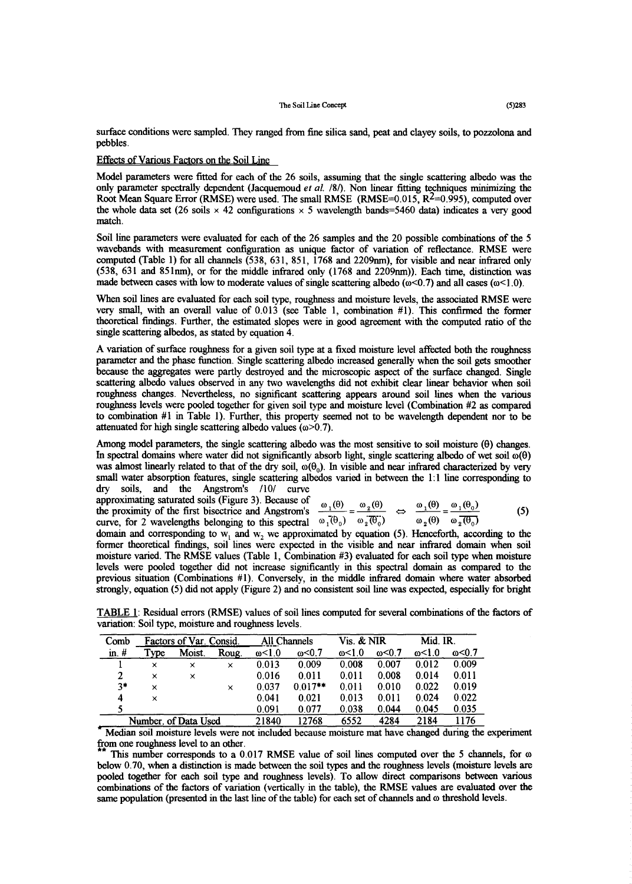surface conditions were sampled. They ranged from fine silica sand, peat and clayey soils, to pozzolona and pebbles.

### Effects of Various Factors on the Soil Line

Model parameters were fitted for each of the 26 soils, assuming that the single scattering albedo was the only parameter spectrally dependent (Jacquemoud *et* a!. /81). Non linear fitting techniques minimizing the Root Mean Square Error (RMSE) were used. The small RMSE (RMSE= $0.015$ ,  $R<sup>2</sup>=0.995$ ), computed over the whole data set (26 soils  $\times$  42 configurations  $\times$  5 wavelength bands=5460 data) indicates a very good match.

Soil line parameters were evaluated for each of the 26 samples and the 20 possible combinations of the 5 wavebands with measurement configuration as unique factor of variation of reflectance. RMSE were computed (Table 1) for all channels (538, 631, 851, 1768 and 2209nm), for visible and near infrared only  $(538, 631 \text{ and } 851 \text{nm})$ , or for the middle infrared only  $(1768 \text{ and } 2209 \text{nm}))$ . Each time, distinction was made between cases with low to moderate values of single scattering albedo ( $\alpha$ <0.7) and all cases ( $\alpha$ <1.0).

When soil lines are evaluated for each soil type, roughness and moisture levels, the associated RMSE were very small, with an overall value of 0.013 (see Table 1, combination #1). This confirmed the former theoretical findings. Further, the estimated slopes were in good agreement with the computed ratio of the single scattering albedos, as stated by equation 4.

A variation of surface roughness for a given soil type at a fixed moisture level affected both the roughness parameter and the phase function. Single scattering albedo increased generally when the soil gets smoother because the aggregates were partly destroyed and the microscopic aspect of the surface changed. Single scattering albedo values observed in any two wavelengths did not exhibit clear linear behavior when soil roughness changes. Nevertheless, no significant scattering appears around soil lines when the various roughness levels were pooled together for given soil type and moisture level (Combination #2 as compared to combination #1 in Table 1). Further, this property seemed not to be wavelength dependent nor to be attenuated for high single scattering albedo values  $(\omega > 0.7)$ .

Among model parameters, the single scattering albedo was the most sensitive to soil moisture (9) changes. In spectral domains where water did not significantly absorb light, single scattering albedo of wet soil  $\omega(\theta)$ was almost linearly related to that of the dry soil,  $\omega(\theta_0)$ . In visible and near infrared characterized by very small water absorption features, single scattering albedos varied in between the 1:1 line corresponding to dry soils, and the Angstrom's /10/ curve

approximating saturated soils (Figure 3). Because of

the proximity ofthe first bisectrice and Angstrom's **1~** = **2~ / 1~ /** = **1~ 0~** *(5)* curve, for <sup>2</sup> wavelengths belonging to this spectral *(0~***(°~)**~2(~0) ~2 (8) **~2(~0)**

curve, for 2 wavelengths belonging to this spectral  $\omega_1(\theta_0)$   $\omega_2(\theta_0)$   $\omega_2(\theta)$   $\omega_2(\theta)$   $\omega_2(\theta_0)$ <br>domain and corresponding to w<sub>1</sub> and w<sub>2</sub> we approximated by equation (5). Henceforth, according to the former theoretical findings, soil lines were expected in the visible and near infrared domain when soil moisture varied. The RMSE values (Table 1, Combination #3) evaluated for each soil type when moisture levels were pooled together did not increase significantly in this spectral domain as compared to the previous situation (Combinations #1). Conversely, in the middle infrared domain where water absorbed previous situation (Combinations #1). Conversely, in the middle infrared domain where water  $\eta$  is  $\eta$  is  $\eta$  in the middle infrared domain where  $\eta$  is  $\eta$  is  $\eta$  is  $\eta$  is  $\eta$  is  $\eta$  is  $\eta$  is  $\eta$  is  $\eta$  is  $s$ trongly, equation (5) did not apply (Figure 2) and no consistent soil line was expected, especially for bright

TABLE 1: Residual errors (RMSE) values of soil lines computed for several combinations ofthe factors of variation: Soil type, moisture and roughness levels.

| Comb                                                                                                    | Factors of Var. Consid. |          |       | All Channels     |                | Vis. & NIR     |                | Mid. IR.       |       |
|---------------------------------------------------------------------------------------------------------|-------------------------|----------|-------|------------------|----------------|----------------|----------------|----------------|-------|
| in. $#$                                                                                                 | Type                    | Moist.   | Roug. | $\omega$ $<$ 1.0 | $\omega$ < 0.7 | $\omega$ < 1.0 | $\omega$ < 0.7 | $\omega$ < 1.0 | ω<0.7 |
|                                                                                                         | $\times$                | $\times$ | ×     | 0.013            | 0.009          | 0.008          | 0.007          | 0.012          | 0.009 |
|                                                                                                         | ×                       | ×        |       | 0.016            | 0.011          | 0.011          | 0.008          | 0.014          | 0.011 |
| $3*$                                                                                                    | ×                       |          | ×     | 0.037            | $0.017**$      | 0.011          | 0.010          | 0.022          | 0.019 |
| 4                                                                                                       | $\times$                |          |       | 0.041            | 0.021          | 0.013          | 0.011          | 0.024          | 0.022 |
|                                                                                                         |                         |          |       | 0.091            | 0.077          | 0.038          | 0.044          | 0.045          | 0.035 |
| Number. of Data Used                                                                                    |                         |          |       | 21840            | 12768          | 6552           | 4284           | 2184           | 1176  |
| بالمستمل ومستقطات وبالملاء ووجالاتهم<br>ومعالم والمتسابقات المواصوص والمراج<br><u>. 1. . 1. . 1 1. </u> |                         |          |       |                  |                |                |                |                |       |

'5~4ediansoil moisture levels were not included because moisture mat have changed during the experiment from one roughness level to an other.<br>\*\* This number corresponds to a  $0.017$  RMSE value of soil lines computed over the 5 channels, for  $\omega$ 

below 0.70, when a distinction is made between the soil types and the roughness levels (moisture levels are pooled together for each soil type and roughness levels). To allow direct comparisons between various combinations of the factors of variation (vertically in the table), the RMSE values are evaluated over the combinations of the factors of variation (vertically in the table), the RMSE values are evaluated over the<br>came population (presented in the last line of the table) for each set of channels and @ threshold levels same population (presented in the last line of the table) for each set of channels and  $\omega$  threshold levels.